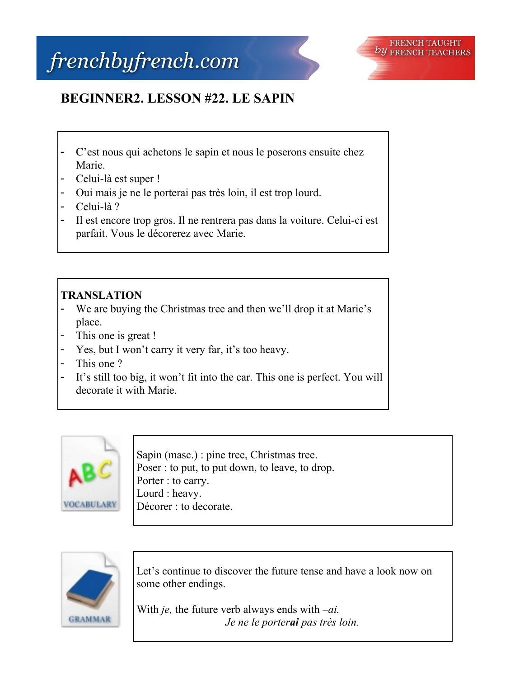## frenchbyfrench.com



## **BEGINNER2. LESSON #22. LE SAPIN**

- C'est nous qui achetons le sapin et nous le poserons ensuite chez Marie.
- Celui-là est super !
- Oui mais je ne le porterai pas très loin, il est trop lourd.
- Celui-là ?
- Il est encore trop gros. Il ne rentrera pas dans la voiture. Celui-ci est parfait. Vous le décorerez avec Marie.

## **TRANSLATION**

- We are buying the Christmas tree and then we'll drop it at Marie's place.
- This one is great !
- Yes, but I won't carry it very far, it's too heavy.
- This one ?
- It's still too big, it won't fit into the car. This one is perfect. You will decorate it with Marie.



Sapin (masc.) : pine tree, Christmas tree. Poser : to put, to put down, to leave, to drop. Porter : to carry. Lourd : heavy. Décorer : to decorate.



Let's continue to discover the future tense and have a look now on some other endings.

With *je,* the future verb always ends with *–ai. Je ne le porterai pas très loin.*